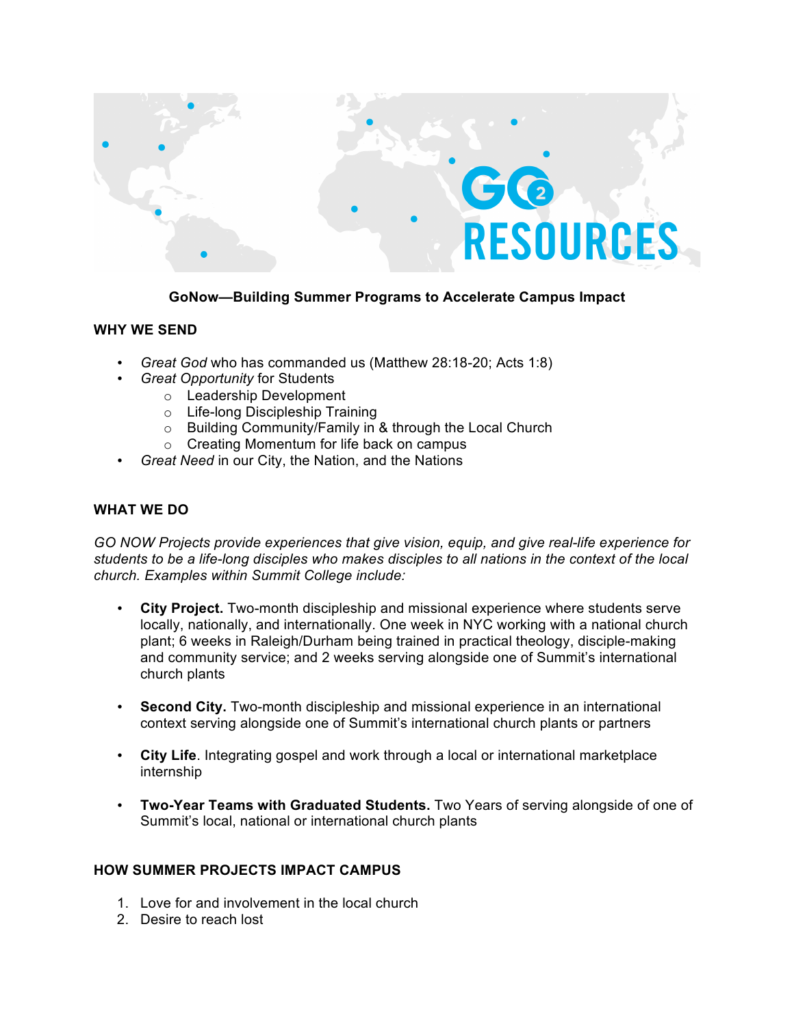

**GoNow—Building Summer Programs to Accelerate Campus Impact**

## **WHY WE SEND**

- *Great God* who has commanded us (Matthew 28:18-20; Acts 1:8)
	- *Great Opportunity* for Students
		- o Leadership Development
		- o Life-long Discipleship Training
		- o Building Community/Family in & through the Local Church
		- o Creating Momentum for life back on campus
- *Great Need* in our City, the Nation, and the Nations

## **WHAT WE DO**

*GO NOW Projects provide experiences that give vision, equip, and give real-life experience for students to be a life-long disciples who makes disciples to all nations in the context of the local church. Examples within Summit College include:*

- **City Project.** Two-month discipleship and missional experience where students serve locally, nationally, and internationally. One week in NYC working with a national church plant; 6 weeks in Raleigh/Durham being trained in practical theology, disciple-making and community service; and 2 weeks serving alongside one of Summit's international church plants
- **Second City.** Two-month discipleship and missional experience in an international context serving alongside one of Summit's international church plants or partners
- **City Life**. Integrating gospel and work through a local or international marketplace internship
- **Two-Year Teams with Graduated Students.** Two Years of serving alongside of one of Summit's local, national or international church plants

## **HOW SUMMER PROJECTS IMPACT CAMPUS**

- 1. Love for and involvement in the local church
- 2. Desire to reach lost